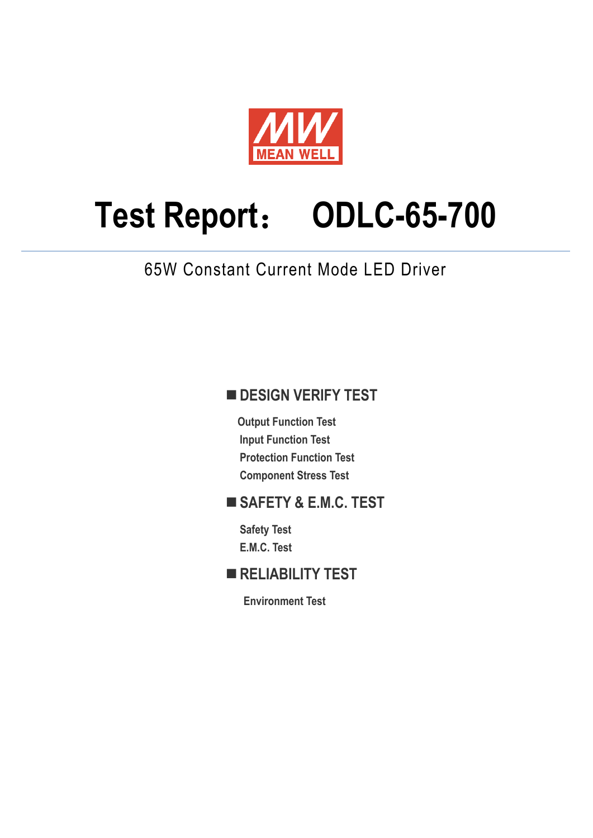

# **Test Report**: **ODLC-65-700**

65W Constant Current Mode LED Driver

## **DESIGN VERIFY TEST**

**Output Function Test Input Function Test Protection Function Test Component Stress Test** 

## **SAFETY & E.M.C. TEST**

**Safety Test E.M.C. Test** 

## **RELIABILITY TEST**

**Environment Test**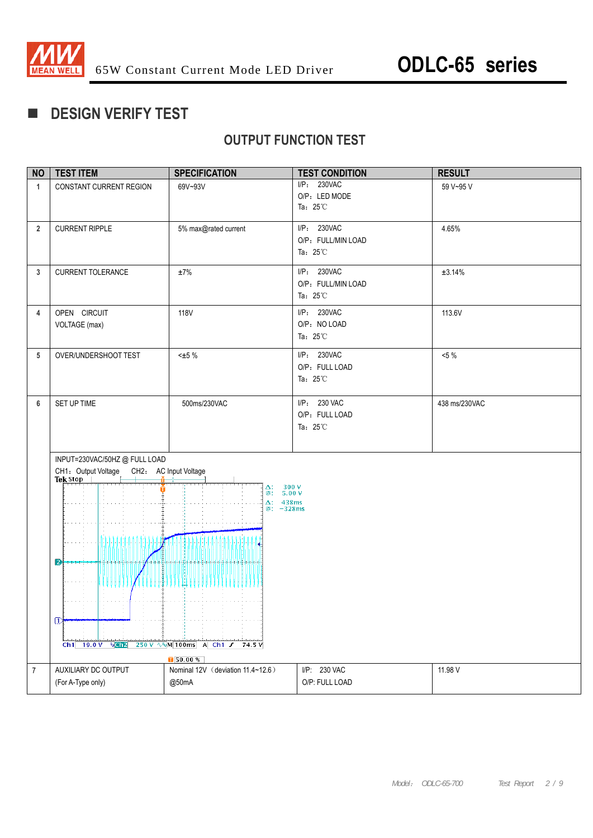

## **DESIGN VERIFY TEST**

## **OUTPUT FUNCTION TEST**

| <b>NO</b>      | <b>TEST ITEM</b>                                     | <b>SPECIFICATION</b>                  | <b>TEST CONDITION</b>                    | <b>RESULT</b> |
|----------------|------------------------------------------------------|---------------------------------------|------------------------------------------|---------------|
| $\mathbf{1}$   | CONSTANT CURRENT REGION                              | 69V~93V                               | I/P: 230VAC<br>O/P: LED MODE             | 59 V~95 V     |
|                |                                                      |                                       | Ta: $25^{\circ}$ C                       |               |
| $\overline{2}$ | <b>CURRENT RIPPLE</b>                                | 5% max@rated current                  | I/P: 230VAC                              | 4.65%         |
|                |                                                      |                                       | O/P: FULL/MIN LOAD<br>Ta: $25^{\circ}$ C |               |
|                |                                                      |                                       |                                          |               |
| 3              | <b>CURRENT TOLERANCE</b>                             | ±7%                                   | I/P: 230VAC<br>O/P: FULL/MIN LOAD        | ±3.14%        |
|                |                                                      |                                       | Ta: $25^{\circ}$ C                       |               |
| 4              | OPEN CIRCUIT                                         | <b>118V</b>                           | I/P: 230VAC                              | 113.6V        |
|                | VOLTAGE (max)                                        |                                       | O/P: NO LOAD<br>Ta: $25^{\circ}$ C       |               |
|                |                                                      |                                       | I/P: 230VAC                              |               |
| 5              | OVER/UNDERSHOOT TEST                                 | $±5 %$                                | O/P: FULL LOAD                           | $<5\%$        |
|                |                                                      |                                       | Ta: $25^{\circ}$ C                       |               |
| 6              | SET UP TIME                                          | 500ms/230VAC                          | I/P: 230 VAC                             | 438 ms/230VAC |
|                |                                                      |                                       | O/P: FULL LOAD                           |               |
|                |                                                      |                                       | Ta: $25^{\circ}$ C                       |               |
|                |                                                      |                                       |                                          |               |
|                | INPUT=230VAC/50HZ @ FULL LOAD<br>CH1: Output Voltage | CH2: AC Input Voltage                 |                                          |               |
|                | Tek Stop                                             | $300 V$<br>5.00 V<br>Δ:               |                                          |               |
|                |                                                      | @:<br>$\Delta$ : 438ms<br>$@: -328ms$ |                                          |               |
|                |                                                      |                                       |                                          |               |
|                |                                                      |                                       |                                          |               |
|                |                                                      |                                       |                                          |               |
|                | $\mathbf{D}$                                         |                                       |                                          |               |
|                |                                                      |                                       |                                          |               |
|                |                                                      |                                       |                                          |               |
|                | $\mathbb{D}$                                         |                                       |                                          |               |
|                | $Ch1$ 19.0 V<br>$R$ <sub><math>C</math></sub> $h2$   | 250 V \\M 100ms A Ch1 /<br>74.5 V     |                                          |               |
|                |                                                      | $\sqrt{50.00 \%}$                     |                                          |               |
| $\overline{7}$ | AUXILIARY DC OUTPUT                                  | Nominal 12V (deviation 11.4~12.6)     | I/P: 230 VAC<br>O/P: FULL LOAD           | 11.98 V       |
|                | (For A-Type only)                                    | @50mA                                 |                                          |               |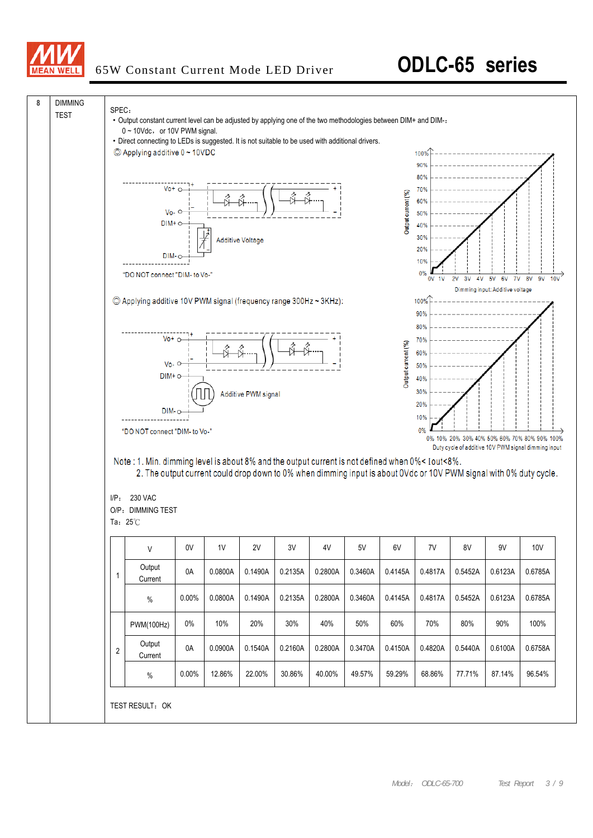

## 65W Constant Current Mode LED Driver **ODLC-65 series**

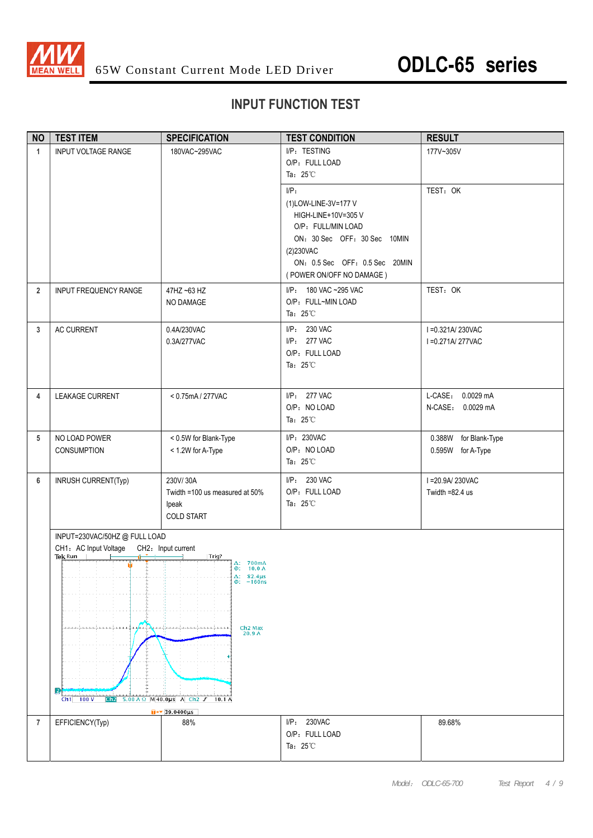

### **INPUT FUNCTION TEST**

| <b>NO</b>      | <b>TEST ITEM</b>                                                                                           | <b>SPECIFICATION</b>                                                                                                                                                              | <b>TEST CONDITION</b>                                                                                                                                                                   | <b>RESULT</b>                              |
|----------------|------------------------------------------------------------------------------------------------------------|-----------------------------------------------------------------------------------------------------------------------------------------------------------------------------------|-----------------------------------------------------------------------------------------------------------------------------------------------------------------------------------------|--------------------------------------------|
| $\mathbf{1}$   | <b>INPUT VOLTAGE RANGE</b>                                                                                 | 180VAC~295VAC                                                                                                                                                                     | I/P: TESTING<br>O/P: FULL LOAD<br>Ta: $25^{\circ}$ C                                                                                                                                    | 177V~305V                                  |
|                |                                                                                                            |                                                                                                                                                                                   | $I/P$ :<br>(1)LOW-LINE-3V=177 V<br>HIGH-LINE+10V=305 V<br>O/P: FULL/MIN LOAD<br>ON: 30 Sec OFF: 30 Sec 10MIN<br>(2)230VAC<br>ON: 0.5 Sec OFF: 0.5 Sec 20MIN<br>(POWER ON/OFF NO DAMAGE) | TEST: OK                                   |
| $\overline{2}$ | INPUT FREQUENCY RANGE                                                                                      | 47HZ ~63 HZ<br>NO DAMAGE                                                                                                                                                          | I/P: 180 VAC ~295 VAC<br>O/P: FULL~MIN LOAD<br>Ta: $25^{\circ}$ C                                                                                                                       | TEST: OK                                   |
| 3              | AC CURRENT                                                                                                 | 0.4A/230VAC<br>0.3A/277VAC                                                                                                                                                        | I/P: 230 VAC<br>I/P: 277 VAC<br>O/P: FULL LOAD<br>Ta: $25^{\circ}$ C                                                                                                                    | I = 0.321A/230VAC<br>I = 0.271A/277VAC     |
| 4              | LEAKAGE CURRENT                                                                                            | < 0.75mA / 277VAC                                                                                                                                                                 | I/P: 277 VAC<br>O/P: NO LOAD<br>Ta: $25^{\circ}$ C                                                                                                                                      | L-CASE: 0.0029 mA<br>N-CASE: 0.0029 mA     |
| 5              | NO LOAD POWER<br><b>CONSUMPTION</b>                                                                        | < 0.5W for Blank-Type<br>< 1.2W for A-Type                                                                                                                                        | I/P: 230VAC<br>O/P: NO LOAD<br>Ta: $25^{\circ}$ C                                                                                                                                       | 0.388W for Blank-Type<br>0.595W for A-Type |
| 6              | INRUSH CURRENT(Typ)                                                                                        | 230V/30A<br>Twidth =100 us measured at 50%<br>lpeak<br><b>COLD START</b>                                                                                                          | I/P: 230 VAC<br>O/P: FULL LOAD<br>Ta: $25^{\circ}$ C                                                                                                                                    | I = 20.9A/230VAC<br>Twidth $=82.4$ us      |
|                | INPUT=230VAC/50HZ @ FULL LOAD<br>CH1: AC Input Voltage CH2: Input current<br>Tek Run<br>$Ch1$ 100 V<br>Ch2 | Trig?<br>$\Delta$ : 700mA<br>@: 10.0 A<br>$\Delta$ : 82.4µs<br>$@: -160$ ns<br>Ch <sub>2</sub> Max<br>20.9A<br>$5.00 A \Omega$ M40.0us A Ch2 $J$ 10.1 A<br>$\sqrt{39.0400 \mu s}$ |                                                                                                                                                                                         |                                            |
| 7              | EFFICIENCY(Typ)                                                                                            | 88%                                                                                                                                                                               | I/P: 230VAC<br>O/P: FULL LOAD<br>Ta: $25^{\circ}$ C                                                                                                                                     | 89.68%                                     |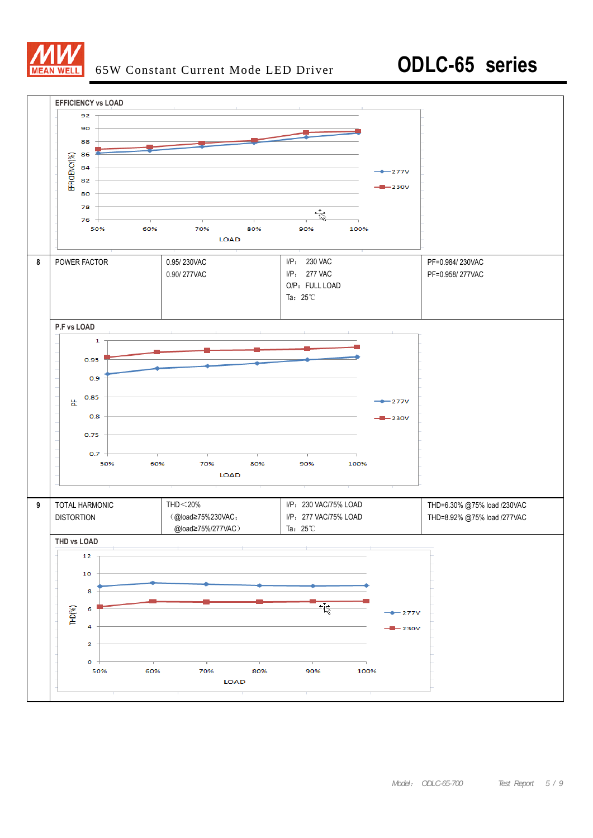

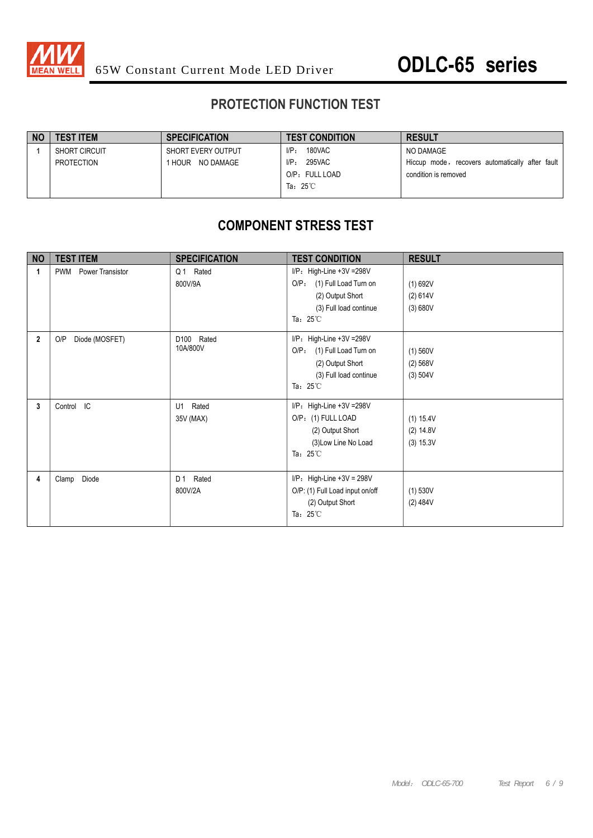

## **PROTECTION FUNCTION TEST**

| TEST ITEM            | <b>SPECIFICATION</b> | <b>TEST CONDITION</b> | <b>RESULT</b>                                   |
|----------------------|----------------------|-----------------------|-------------------------------------------------|
| <b>SHORT CIRCUIT</b> | SHORT EVERY OUTPUT   | 180VAC<br>$I/P_{\pm}$ | NO DAMAGE                                       |
| PROTECTION           | HOUR NO DAMAGE       | 295VAC<br>$I/P$ :     | Hiccup mode, recovers automatically after fault |
|                      |                      | O/P: FULL LOAD        | condition is removed                            |
|                      |                      | Ta: $25^{\circ}$ C    |                                                 |

## **COMPONENT STRESS TEST**

| <b>NO</b>   | <b>TEST ITEM</b>               | <b>SPECIFICATION</b>      | <b>TEST CONDITION</b>                                                                                                                     | <b>RESULT</b>                       |
|-------------|--------------------------------|---------------------------|-------------------------------------------------------------------------------------------------------------------------------------------|-------------------------------------|
| 1           | Power Transistor<br><b>PWM</b> | Q1 Rated<br>800V/9A       | I/P: High-Line +3V =298V<br>(1) Full Load Turn on<br>O/P <sub>z</sub><br>(2) Output Short<br>(3) Full load continue<br>Ta: $25^{\circ}$ C | (1) 692V<br>(2) 614V<br>(3) 680V    |
| $\mathbf 2$ | O/P<br>Diode (MOSFET)          | D100<br>Rated<br>10A/800V | $I/P$ : High-Line +3V = 298V<br>$O/P$ :<br>(1) Full Load Turn on<br>(2) Output Short<br>(3) Full load continue<br>Ta: $25^{\circ}$ C      | (1) 560V<br>(2) 568V<br>(3) 504V    |
| 3           | Control IC                     | Rated<br>U1<br>35V (MAX)  | $I/P$ : High-Line +3V = 298V<br>O/P: (1) FULL LOAD<br>(2) Output Short<br>(3) Low Line No Load<br>Ta: $25^{\circ}$ C                      | (1) 15.4V<br>(2) 14.8V<br>(3) 15.3V |
| 4           | Diode<br>Clamp                 | Rated<br>D 1<br>800V/2A   | $I/P$ : High-Line +3V = 298V<br>O/P: (1) Full Load input on/off<br>(2) Output Short<br>Ta: $25^{\circ}$ C                                 | $(1)$ 530V<br>(2) 484V              |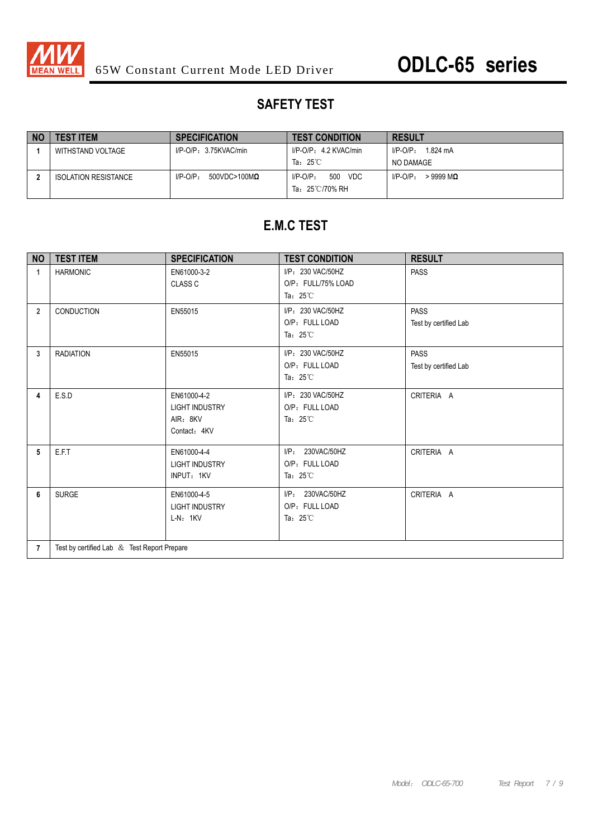

## **SAFETY TEST**

| NO | <b>TEST ITEM</b>            | <b>SPECIFICATION</b>                   | <b>TEST CONDITION</b>                       | <b>RESULT</b>             |
|----|-----------------------------|----------------------------------------|---------------------------------------------|---------------------------|
|    | WITHSTAND VOLTAGE           | $I/P$ -O/P: 3.75KVAC/min               | I/P-O/P: 4.2 KVAC/min                       | 1.824 mA<br>$I/P$ -O/P:   |
|    |                             |                                        | Ta: $25^{\circ}$ C                          | NO DAMAGE                 |
|    | <b>ISOLATION RESISTANCE</b> | $I/P-O/P$ :<br>$500$ VDC>100M $\Omega$ | VDC<br>500<br>$I/P$ -O/P:<br>Ta: 25℃/70% RH | $>9999$ MQ<br>$I/P$ -O/P: |

## **E.M.C TEST**

| <b>NO</b>      | <b>TEST ITEM</b>                            | <b>SPECIFICATION</b>                                             | <b>TEST CONDITION</b>                                          | <b>RESULT</b>                        |  |
|----------------|---------------------------------------------|------------------------------------------------------------------|----------------------------------------------------------------|--------------------------------------|--|
| 1              | <b>HARMONIC</b>                             | EN61000-3-2<br><b>CLASS C</b>                                    | I/P: 230 VAC/50HZ<br>O/P: FULL/75% LOAD<br>Ta: $25^{\circ}$ C  | <b>PASS</b>                          |  |
| $\overline{2}$ | CONDUCTION                                  | EN55015                                                          | I/P: 230 VAC/50HZ<br>O/P: FULL LOAD<br>Ta: $25^{\circ}$ C      | <b>PASS</b><br>Test by certified Lab |  |
| 3              | <b>RADIATION</b>                            | EN55015                                                          | I/P: 230 VAC/50HZ<br>O/P: FULL LOAD<br>Ta: $25^{\circ}$ C      | <b>PASS</b><br>Test by certified Lab |  |
| 4              | E.S.D                                       | EN61000-4-2<br><b>LIGHT INDUSTRY</b><br>AIR: 8KV<br>Contact: 4KV | I/P: 230 VAC/50HZ<br>O/P: FULL LOAD<br>Ta: $25^{\circ}$ C      | CRITERIA A                           |  |
| 5              | E.F.T                                       | EN61000-4-4<br><b>LIGHT INDUSTRY</b><br>INPUT: 1KV               | $I/P$ :<br>230VAC/50HZ<br>O/P: FULL LOAD<br>Ta: $25^{\circ}$ C | CRITERIA A                           |  |
| 6              | <b>SURGE</b>                                | EN61000-4-5<br><b>LIGHT INDUSTRY</b><br>$L-N: 1KV$               | $I/P$ :<br>230VAC/50HZ<br>O/P: FULL LOAD<br>Ta: $25^{\circ}$ C | CRITERIA A                           |  |
| $\overline{7}$ | Test by certified Lab & Test Report Prepare |                                                                  |                                                                |                                      |  |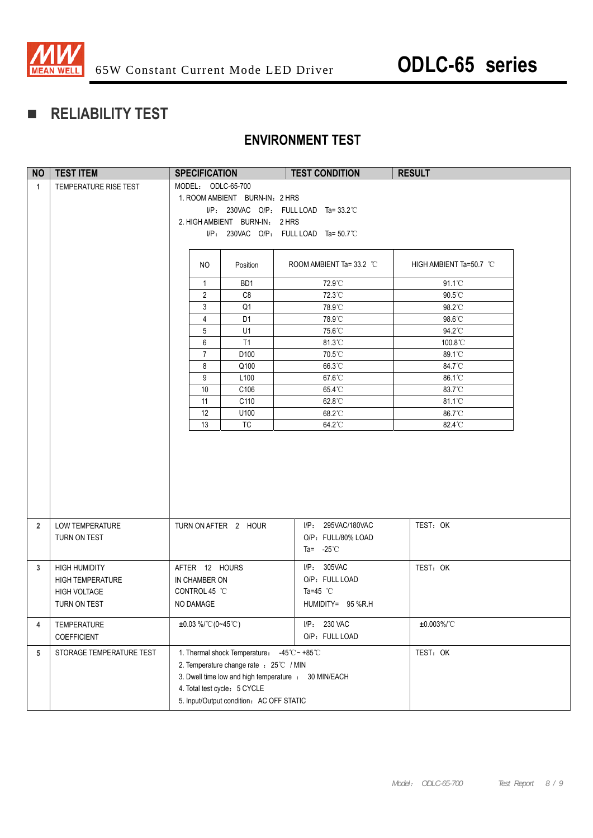

## **RELIABILITY TEST**

## **ENVIRONMENT TEST**

| <b>NO</b>      | <b>TEST ITEM</b>           | <b>SPECIFICATION</b>                                 | <b>TEST CONDITION</b>                   | <b>RESULT</b>           |
|----------------|----------------------------|------------------------------------------------------|-----------------------------------------|-------------------------|
| $\mathbf{1}$   | TEMPERATURE RISE TEST      | MODEL: ODLC-65-700                                   |                                         |                         |
|                |                            | 1. ROOM AMBIENT BURN-IN: 2 HRS                       |                                         |                         |
|                |                            |                                                      | I/P: 230VAC O/P: FULL LOAD Ta=33.2°C    |                         |
|                |                            | 2. HIGH AMBIENT BURN-IN: 2 HRS                       |                                         |                         |
|                |                            |                                                      | $I/P$ : 230VAC O/P: FULL LOAD Ta=50.7°C |                         |
|                |                            |                                                      |                                         |                         |
|                |                            | NO.<br>Position                                      | ROOM AMBIENT Ta=33.2 °C                 | HIGH AMBIENT Ta=50.7 °C |
|                |                            | BD1<br>$\mathbf{1}$                                  | 72.9°C                                  | 91.1°C                  |
|                |                            | $\overline{2}$<br>C <sub>8</sub>                     | 72.3°C                                  | $90.5^{\circ}$ C        |
|                |                            | 3<br>Q1                                              | 78.9°C                                  | 98.2°C                  |
|                |                            | $\overline{4}$<br>D <sub>1</sub>                     | 78.9°C                                  | 98.6°C                  |
|                |                            | 5<br>U1                                              | 75.6°C                                  | 94.2°C                  |
|                |                            | 6<br>T1                                              | 81.3°C                                  | 100.8°C                 |
|                |                            | $\overline{7}$<br>D100                               | 70.5°C                                  | 89.1°C                  |
|                |                            | 8<br>Q100                                            | 66.3°C                                  | 84.7°C                  |
|                |                            | 9<br>L <sub>100</sub>                                | 67.6°C                                  | 86.1°C                  |
|                |                            | 10<br>C106                                           | 65.4°C                                  | 83.7°C                  |
|                |                            | 11<br>C110                                           | 62.8°C                                  | 81.1°C                  |
|                |                            | 12<br>U100                                           | 68.2°C                                  | 86.7°C                  |
|                |                            | 13<br><b>TC</b>                                      | 64.2°C                                  | $82.4^{\circ}$ C        |
|                |                            |                                                      |                                         |                         |
| $\overline{2}$ | LOW TEMPERATURE            | TURN ON AFTER 2 HOUR                                 | I/P: 295VAC/180VAC                      | TEST: OK                |
|                | TURN ON TEST               |                                                      | O/P: FULL/80% LOAD                      |                         |
|                |                            |                                                      | Ta= $-25^{\circ}$ C                     |                         |
|                |                            |                                                      |                                         |                         |
| 3              | <b>HIGH HUMIDITY</b>       | AFTER 12 HOURS                                       | I/P: 305VAC                             | TEST: OK                |
|                | <b>HIGH TEMPERATURE</b>    | IN CHAMBER ON                                        | O/P: FULL LOAD                          |                         |
|                | <b>HIGH VOLTAGE</b>        | CONTROL 45 °C                                        | Ta=45 $\degree$ C                       |                         |
|                | TURN ON TEST               | NO DAMAGE                                            | HUMIDITY= 95 %R.H                       |                         |
| 4              | TEMPERATURE<br>COEFFICIENT | $±0.03\%$ /°C(0~45°C)                                | I/P: 230 VAC<br>O/P: FULL LOAD          | ±0.003%/°C              |
| 5              | STORAGE TEMPERATURE TEST   | 1. Thermal shock Temperature: -45°C ~ +85°C          |                                         | TEST: OK                |
|                |                            | 2. Temperature change rate : 25℃ / MIN               |                                         |                         |
|                |                            | 3. Dwell time low and high temperature : 30 MIN/EACH |                                         |                         |
|                |                            | 4. Total test cycle: 5 CYCLE                         |                                         |                         |
|                |                            | 5. Input/Output condition: AC OFF STATIC             |                                         |                         |
|                |                            |                                                      |                                         |                         |